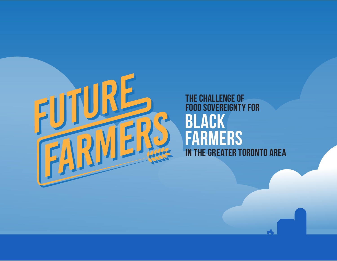

## **THE CHALLENGE OF FOOD SOVEREIGNTY FOR IN THE GREATER TORONTO AREA BLACK FARMERS**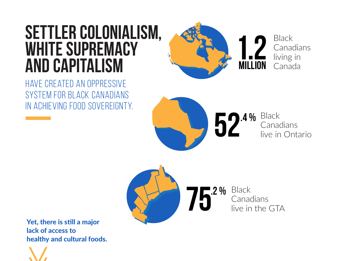# **SETTLER COLONIALISM, WHITE SUPREMACY AND CAPITALISM**

HAVE CREATED AN OPPRESSIVE SYSTEM FOR BLACK CANADIANS IN ACHIEVING FOOD SOVEREIGNTY.



**Black** Canadians live in Ontario **52.4 %**

Black Canadians live in the GTA **75.2 %**

Yet, there is still a major lack of access to healthy and cultural foods.

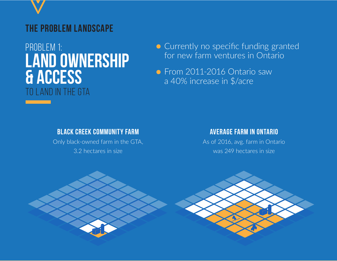

# PROBLEM 1: **LAND OWNERSHIP & ACCESS** TO LAND IN THE GTA

- Currently no specific funding granted for new farm ventures in Ontario
- From 2011-2016 Ontario saw a 40% increase in \$/acre

#### **BLACK CREEK COMMUNITY FARM**

Only black-owned farm in the GTA, 3.2 hectares in size

#### **AVERAGE FARM IN ONTARIO**

As of 2016, avg. farm in Ontario was 249 hectares in size

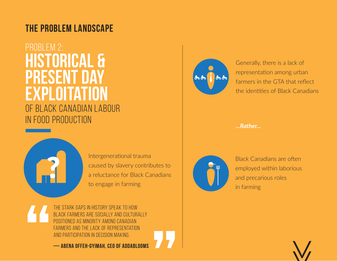### **THE PROBLEM LANDSCAPE**

## **HISTORICAL & PRESENT DAY EXPLOITATION** OF BLACK CANADIAN LABOUR IN FOOD PRODUCTION PROBLEM 2:

?

Intergenerational trauma caused by slavery contributes to a reluctance for Black Canadians to engage in farming

STARK GAPS IN HISTORY SPEAK TO HOW BLACK FARMERS ARE SOCIALLY AND CULTURALLY AS MINORITY AMONG CANADIAN FARMERS AND THE LACK OF REPRESENTATION AND PARTICIPATION IN DECISION MAKING.

**— ABENA OFFEH-GYIMAH, CEO OF ADDABLOOMS**



Generally, there is a lack of representation among urban farmers in the GTA that reflect the identities of Black Canadians

*...Rather...*



Black Canadians are often employed within laborious and precarious roles in farming

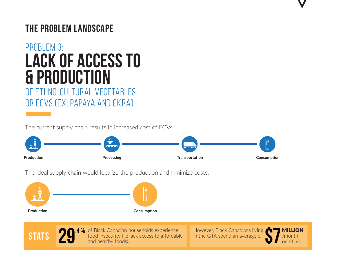### **THE PROBLEM LANDSCAPE**

# **LACK OF ACCESS TO & PRODUCTION** PROBLEM 3:

OF ETHNO-CULTURAL VEGETABLES OR ECVS (EX; PAPAYA AND OKRA)

The current supply chain results in increased cost of ECVs:



The ideal supply chain would localize the production and minimize costs:





**STATS 20.4 %** of Black Canadian households experience However, Black Canadians living food insecurity (i.e lack access to affordable in the GTA spend an average of  $\bullet$ of Black Canadian households experience food insecurity (i.e lack access to affordable and healthy foods).

However, Black Canadians living in the GTA spend an average of



 $\mathbf{V}$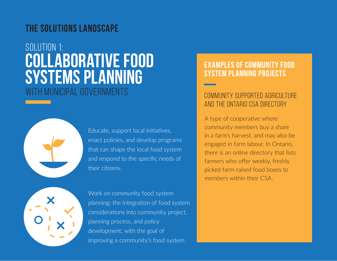### **THE SOLUTIONS LANDSCAPE**

## **COLLABORATIVE FOOD SYSTEMS PLANNING** WITH MUNICIPAL GOVERNMENTS SOLUTION 1:



Educate, support local initiatives, enact policies, and develop programs that can shape the local food system and respond to the specific needs of their citizens.

Work on community food system planning: the integration of food system considerations into community project, planning process, and policy development, with the goal of improving a community's food system.

#### **EXAMPLES OF COMMUNITY FOOD SYSTEM PLANNING PROJECTS**

#### COMMUNITY SUPPORTED AGRICULTURE AND THE ONTARIO CSA DIRECTORY

A type of cooperative where community members buy a share in a farm's harvest, and may also be engaged in farm labour. In Ontario, there is an online directory that lists farmers who offer weekly, freshly picked farm-raised food boxes to members within their CSA.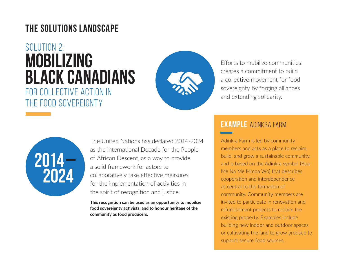### **THE SOLUTIONS LANDSCAPE**

## **MOBILIZING BLACK CANADIANS** FOR COLLECTIVE ACTION IN THE FOOD SOVEREIGNTY SOLUTION 2:



Efforts to mobilize communities creates a commitment to build a collective movement for food sovereignty by forging alliances and extending solidarity.



The United Nations has declared 2014-2024 as the International Decade for the People of African Descent, as a way to provide a solid framework for actors to collaboratively take effective measures for the implementation of activities in the spirit of recognition and justice.

**This recognition can be used as an opportunity to mobilize food sovereignty activists, and to honour heritage of the community as food producers.**

#### **EXAMPLE** ADINKRA FARM

Adinkra Farm is led by community members and acts as a place to reclaim, build, and grow a sustainable community, and is based on the Adinkra symbol (Boa Me Na Me Mmoa Wo) that describes cooperation and interdependence as central to the formation of community. Community members are invited to participate in renovation and refurbishment projects to reclaim the existing property. Examples include building new indoor and outdoor spaces or cultivating the land to grow produce to support secure food sources.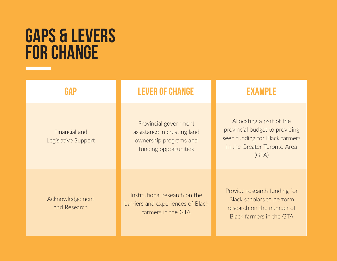# **GAPS & LEVERS FOR CHANGE**

Financial and

Legislative Support

Acknowledgement and Research

Institutional research on the barriers and experiences of Black farmers in the GTA

Provide research funding for Black scholars to perform research on the number of Black farmers in the GTA

Provincial government assistance in creating land ownership programs and funding opportunities

### **GAP LEVER OF CHANGE EXAMPLE**

Allocating a part of the provincial budget to providing seed funding for Black farmers in the Greater Toronto Area (GTA)